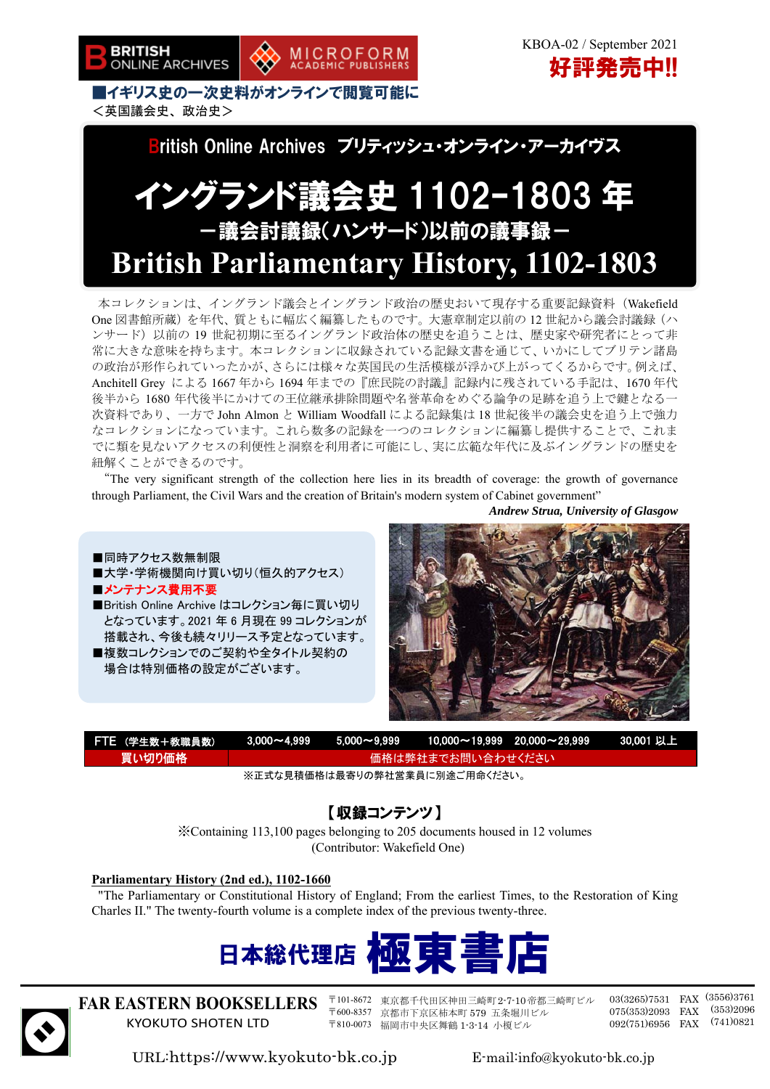

■イギリス史の一次史料がオンラインで閲覧可能に <英国議会史、政治史>



MICROFORM<br>ACADEMIC PUBLISHERS

# イングランド議会史 1102–1803 年 -議会討議録(ハンサード)以前の議事録- **British Parliamentary History, 1102-1803**

本コレクションは、イングランド議会とイングランド政治の歴史おいて現存する重要記録資料(Wakefield One 図書館所蔵)を年代、質ともに幅広く編纂したものです。大憲章制定以前の 12 世紀から議会討議録(ハ ンサード)以前の 19 世紀初期に至るイングランド政治体の歴史を追うことは、歴史家や研究者にとって非 常に大きな意味を持ちます。本コレクションに収録されている記録文書を通じて、いかにしてブリテン諸島 の政治が形作られていったかが、さらには様々な英国民の生活模様が浮かび上がってくるからです。例えば、 Anchitell Grey による 1667 年から 1694 年までの『庶民院の討議』記録内に残されている手記は、1670 年代 後半から 1680 年代後半にかけての王位継承排除問題や名誉革命をめぐる論争の足跡を追う上で鍵となる一 次資料であり、一方で John Almon と William Woodfall による記録集は 18 世紀後半の議会史を追う上で強力 なコレクションになっています。これら数多の記録を一つのコレクションに編纂し提供することで、これま でに類を見ないアクセスの利便性と洞察を利用者に可能にし、実に広範な年代に及ぶイングランドの歴史を 紐解くことができるのです。

"The very significant strength of the collection here lies in its breadth of coverage: the growth of governance through Parliament, the Civil Wars and the creation of Britain's modern system of Cabinet government"

*Andrew Strua, University of Glasgow* 





| FTE (学生数+教職員数)  |                    |  |  | $\textcolor{red}{\textbf{13.000}\textcolor{black}{\sim}4.999} \qquad \textcolor{red}{5.000\textcolor{black}{\sim}9.999} \qquad \textcolor{red}{10.000\textcolor{black}{\sim}19.999} \qquad \textcolor{red}{20.000\textcolor{black}{\sim}29.999} \qquad \textcolor{red}{30.001\textcolor{black}{\sim}1.11} \qquad \textcolor{red}{\textbf{12.11}} \qquad \textcolor{red}{\textbf{23.13}} \qquad \textcolor{red}{\textbf{24.14}} \qquad \textcolor{red}{\textbf$ |  |
|-----------------|--------------------|--|--|----------------------------------------------------------------------------------------------------------------------------------------------------------------------------------------------------------------------------------------------------------------------------------------------------------------------------------------------------------------------------------------------------------------------------------------------------------------|--|
| <b>、冒い切り価格!</b> | ▲価格は弊社までお問い合わせください |  |  |                                                                                                                                                                                                                                                                                                                                                                                                                                                                |  |

※正式な見積価格は最寄りの弊社営業員に別途ご用命ください。

### 【収録コンテンツ】

※Containing 113,100 pages belonging to 205 documents housed in 12 volumes (Contributor: Wakefield One)

#### **Parliamentary History (2nd ed.), 1102-1660**

"The Parliamentary or Constitutional History of England; From the earliest Times, to the Restoration of King Charles II." The twenty-fourth volume is a complete index of the previous twenty-three.





**FAR EASTERN BOOKSELLERS**  KYOKUTO SHOTEN LTD

〒101-8672 東京都千代田区神田三崎町2-7-10帝都三崎町ビル 〒600-8357 京都市下京区柿本町 579 五条堀川ビル 〒810-0073 福岡市中央区舞鶴 1-3-14 小榎ビル

03(3265)7531 FAX (3556)3761 075(353)2093 FAX (353)2096 092(751)6956 FAX (741)0821

URL:https://www.kyokuto-bk.co.jp E-mail:info@kyokuto-bk.co.jp